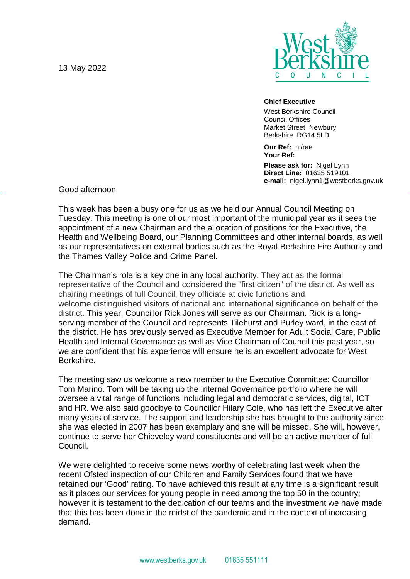13 May 2022



## **Chief Executive**

West Berkshire Council Council Offices Market Street Newbury Berkshire RG14 5LD

**Our Ref:** nl/rae **Your Ref:**

**Please ask for:** Nigel Lynn **Direct Line:** 01635 519101 **e-mail:** nigel.lynn1@westberks.gov.uk

Good afternoon

This week has been a busy one for us as we held our Annual Council Meeting on Tuesday. This meeting is one of our most important of the municipal year as it sees the appointment of a new Chairman and the allocation of positions for the Executive, the Health and Wellbeing Board, our Planning Committees and other internal boards, as well as our representatives on external bodies such as the Royal Berkshire Fire Authority and the Thames Valley Police and Crime Panel.

The Chairman's role is a key one in any local authority. They act as the formal representative of the Council and considered the "first citizen" of the district. As well as chairing meetings of full Council, they officiate at civic functions and welcome distinguished visitors of national and international significance on behalf of the district. This year, Councillor Rick Jones will serve as our Chairman. Rick is a longserving member of the Council and represents Tilehurst and Purley ward, in the east of the district. He has previously served as Executive Member for Adult Social Care, Public Health and Internal Governance as well as Vice Chairman of Council this past year, so we are confident that his experience will ensure he is an excellent advocate for West Berkshire.

The meeting saw us welcome a new member to the Executive Committee: Councillor Tom Marino. Tom will be taking up the Internal Governance portfolio where he will oversee a vital range of functions including legal and democratic services, digital, ICT and HR. We also said goodbye to Councillor Hilary Cole, who has left the Executive after many years of service. The support and leadership she has brought to the authority since she was elected in 2007 has been exemplary and she will be missed. She will, however, continue to serve her Chieveley ward constituents and will be an active member of full Council.

We were delighted to receive some news worthy of celebrating last week when the recent Ofsted inspection of our Children and Family Services found that we have retained our 'Good' rating. To have achieved this result at any time is a significant result as it places our services for young people in need among the top 50 in the country; however it is testament to the dedication of our teams and the investment we have made that this has been done in the midst of the pandemic and in the context of increasing demand.